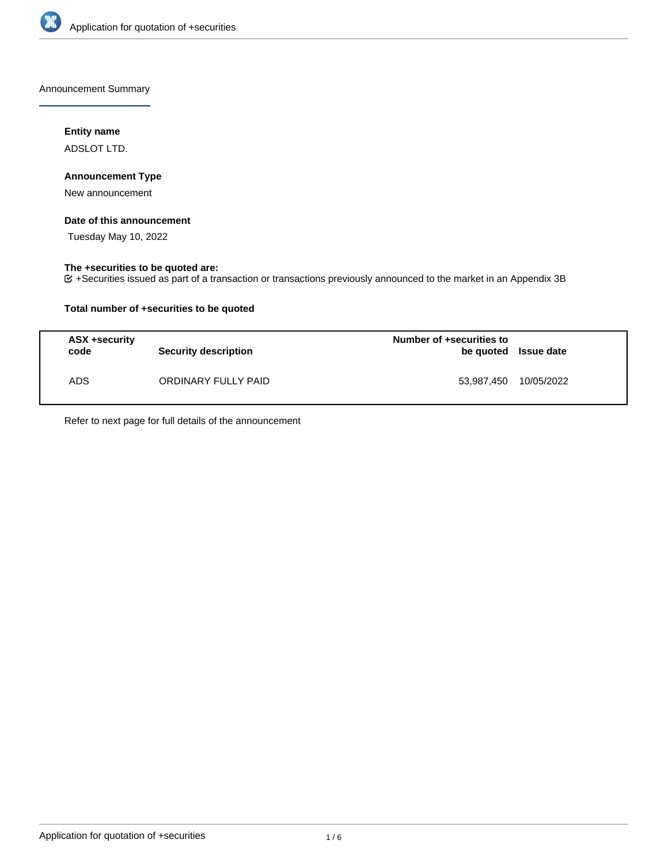

Announcement Summary

## **Entity name**

ADSLOT LTD.

## **Announcement Type**

New announcement

### **Date of this announcement**

Tuesday May 10, 2022

### **The +securities to be quoted are:**

+Securities issued as part of a transaction or transactions previously announced to the market in an Appendix 3B

## **Total number of +securities to be quoted**

| ASX +security<br>code | <b>Security description</b> | Number of +securities to<br>be quoted Issue date |            |
|-----------------------|-----------------------------|--------------------------------------------------|------------|
| <b>ADS</b>            | ORDINARY FULLY PAID         | 53,987,450                                       | 10/05/2022 |

Refer to next page for full details of the announcement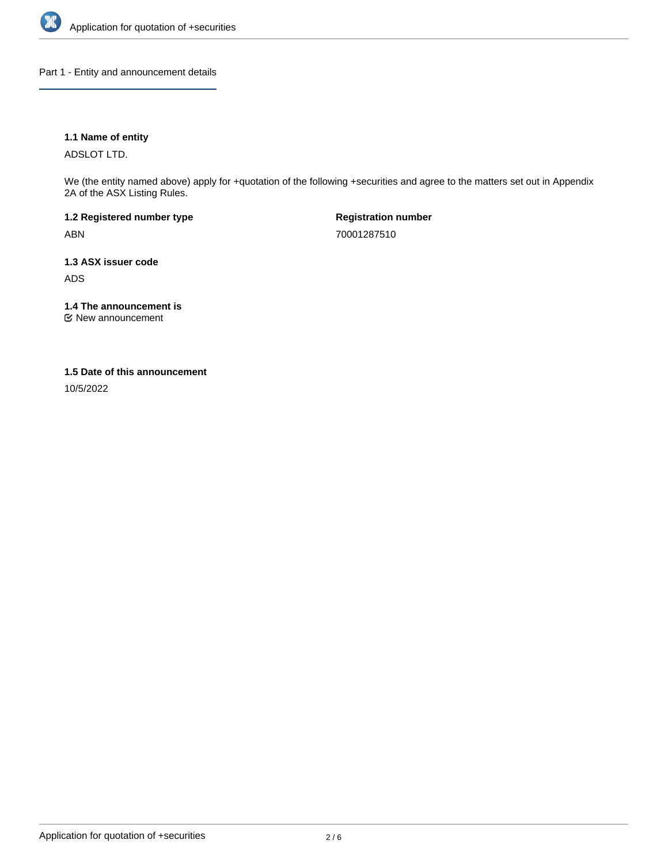

Part 1 - Entity and announcement details

## **1.1 Name of entity**

ADSLOT LTD.

We (the entity named above) apply for +quotation of the following +securities and agree to the matters set out in Appendix 2A of the ASX Listing Rules.

**1.2 Registered number type** ABN

**Registration number** 70001287510

**1.3 ASX issuer code** ADS

**1.4 The announcement is**

New announcement

### **1.5 Date of this announcement**

10/5/2022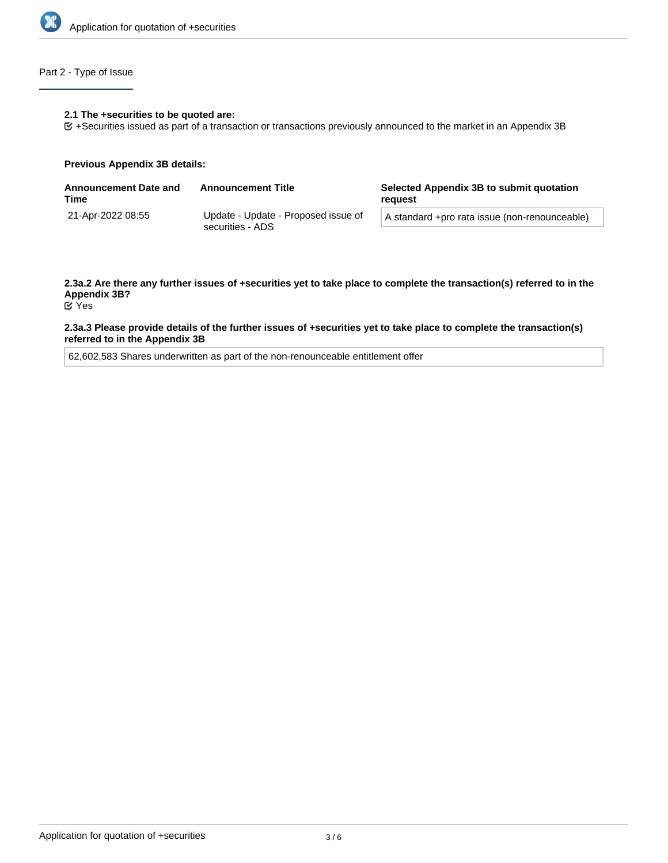

## Part 2 - Type of Issue

#### **2.1 The +securities to be quoted are:**

+Securities issued as part of a transaction or transactions previously announced to the market in an Appendix 3B

#### **Previous Appendix 3B details:**

| <b>Announcement Date and</b><br>Time | <b>Announcement Title</b>                               | Selected Appendix 3B to submit quotation<br>reauest |  |
|--------------------------------------|---------------------------------------------------------|-----------------------------------------------------|--|
| 21-Apr-2022 08:55                    | Update - Update - Proposed issue of<br>securities - ADS | A standard +pro rata issue (non-renounceable)       |  |

# **2.3a.2 Are there any further issues of +securities yet to take place to complete the transaction(s) referred to in the Appendix 3B?**

Yes

### **2.3a.3 Please provide details of the further issues of +securities yet to take place to complete the transaction(s) referred to in the Appendix 3B**

62,602,583 Shares underwritten as part of the non-renounceable entitlement offer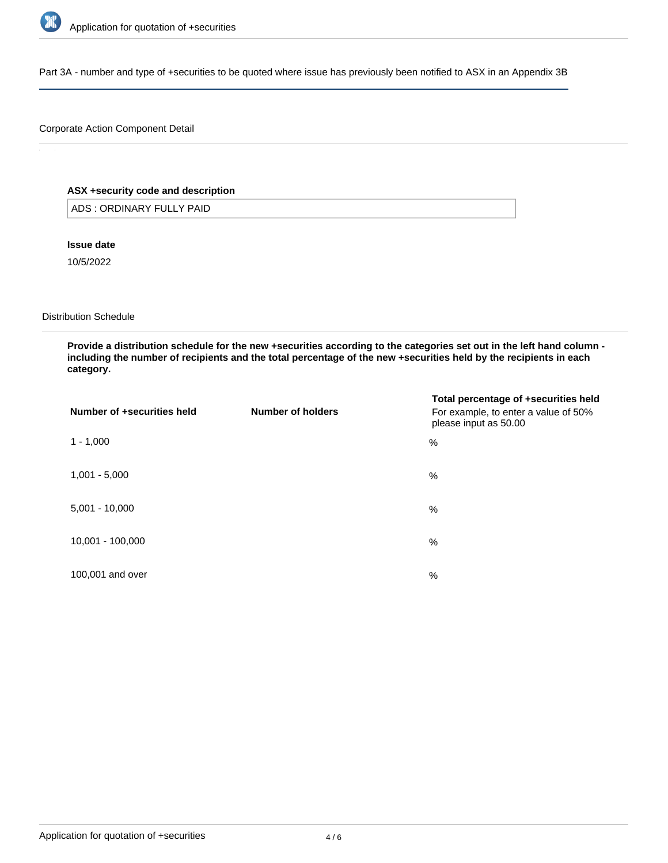

Part 3A - number and type of +securities to be quoted where issue has previously been notified to ASX in an Appendix 3B

## Corporate Action Component Detail

## **ASX +security code and description**

ADS : ORDINARY FULLY PAID

**Issue date**

10/5/2022

Distribution Schedule

**Provide a distribution schedule for the new +securities according to the categories set out in the left hand column including the number of recipients and the total percentage of the new +securities held by the recipients in each category.**

| Number of +securities held | Number of holders | Total percentage of +securities held<br>For example, to enter a value of 50%<br>please input as 50.00 |
|----------------------------|-------------------|-------------------------------------------------------------------------------------------------------|
| $1 - 1,000$                |                   | %                                                                                                     |
| $1,001 - 5,000$            |                   | %                                                                                                     |
| $5,001 - 10,000$           |                   | %                                                                                                     |
| 10,001 - 100,000           |                   | %                                                                                                     |
| 100,001 and over           |                   | %                                                                                                     |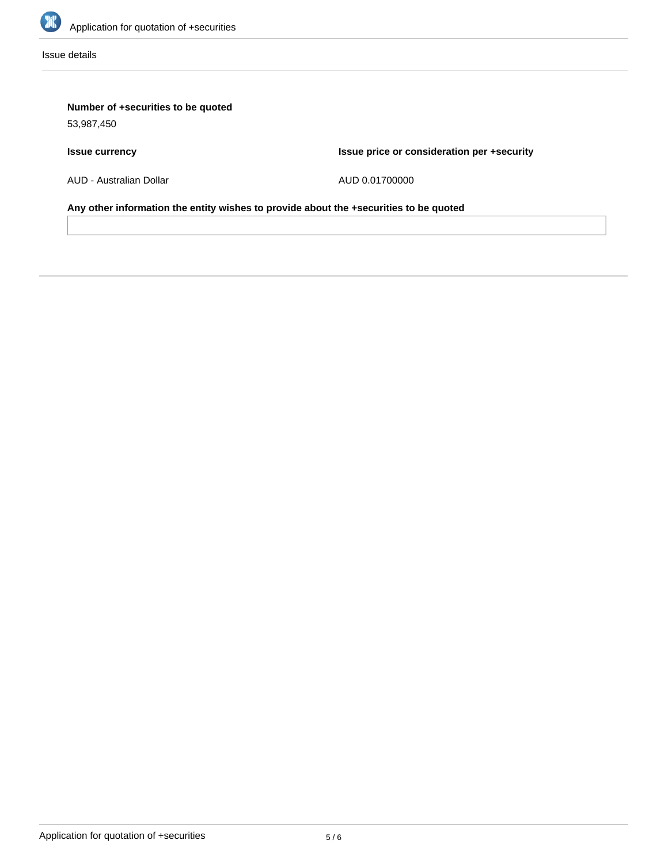

Issue details

# **Number of +securities to be quoted**

53,987,450

# **Issue currency**

**Issue price or consideration per +security**

AUD - Australian Dollar

AUD 0.01700000

**Any other information the entity wishes to provide about the +securities to be quoted**